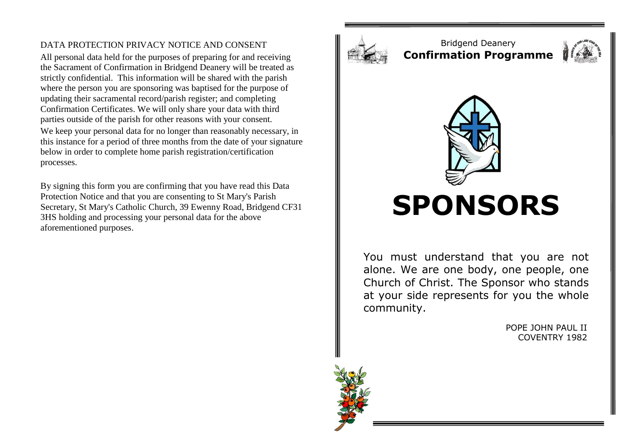## DATA PROTECTION PRIVACY NOTICE AND CONSENT

All personal data held for the purposes of preparing for and receiving the Sacrament of Confirmation in Bridgend Deanery will be treated as strictly confidential. This information will be shared with the parish where the person you are sponsoring was baptised for the purpose of updating their sacramental record/parish register; and completing Confirmation Certificates. We will only share your data with third parties outside of the parish for other reasons with your consent. We keep your personal data for no longer than reasonably necessary, in this instance for a period of three months from the date of your signature below in order to complete home parish registration/certification processes.

By signing this form you are confirming that you have read this Data Protection Notice and that you are consenting to St Mary's Parish Secretary, St Mary's Catholic Church, 39 Ewenny Road, Bridgend CF31 3HS holding and processing your personal data for the above aforementioned purposes.



Bridgend Deanery **Confirmation Programme**





## **SPONSORS**

You must understand that you are not alone. We are one body, one people, one Church of Christ. The Sponsor who stands at your side represents for you the whole community.

> POPE JOHN PAUL II COVENTRY 1982